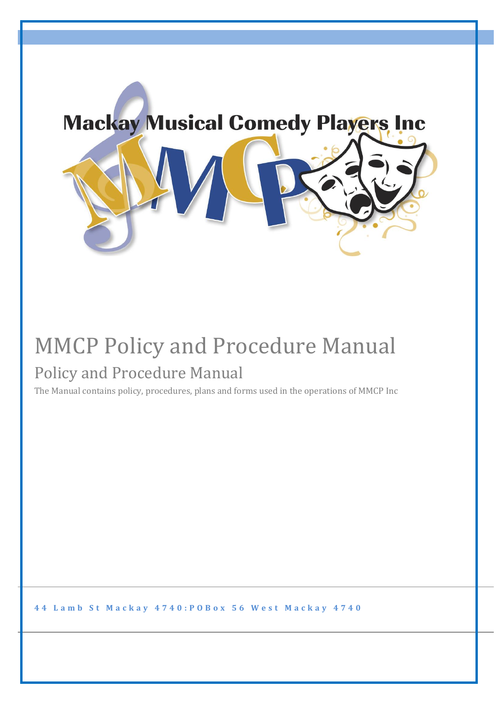

## MMCP Policy and Procedure Manual Policy and Procedure Manual

The Manual contains policy, procedures, plans and forms used in the operations of MMCP Inc

44 Lamb St Mackay 4740: POBox 56 West Mackay 4740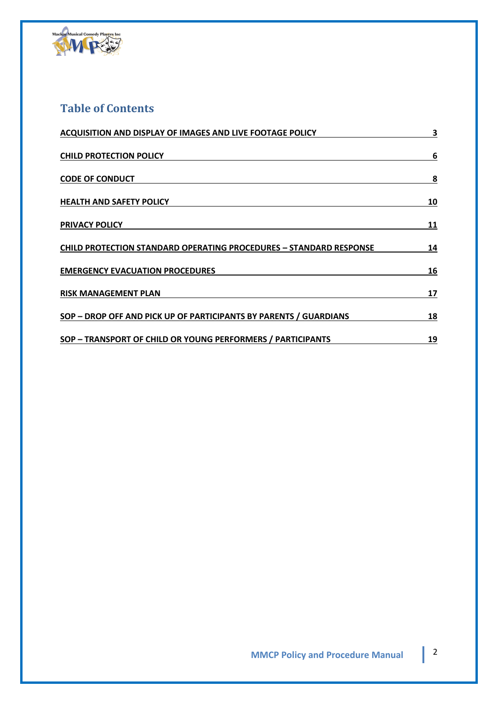

### **Table of Contents**

| <b>ACQUISITION AND DISPLAY OF IMAGES AND LIVE FOOTAGE POLICY</b>          | 3  |
|---------------------------------------------------------------------------|----|
| <b>CHILD PROTECTION POLICY</b>                                            | 6  |
| <b>CODE OF CONDUCT</b>                                                    | 8  |
| <b>HEALTH AND SAFETY POLICY</b>                                           | 10 |
| <b>PRIVACY POLICY</b>                                                     | 11 |
| <b>CHILD PROTECTION STANDARD OPERATING PROCEDURES - STANDARD RESPONSE</b> | 14 |
| <b>EMERGENCY EVACUATION PROCEDURES</b>                                    | 16 |
| <b>RISK MANAGEMENT PLAN</b>                                               | 17 |
| SOP - DROP OFF AND PICK UP OF PARTICIPANTS BY PARENTS / GUARDIANS         | 18 |
| SOP - TRANSPORT OF CHILD OR YOUNG PERFORMERS / PARTICIPANTS               | 19 |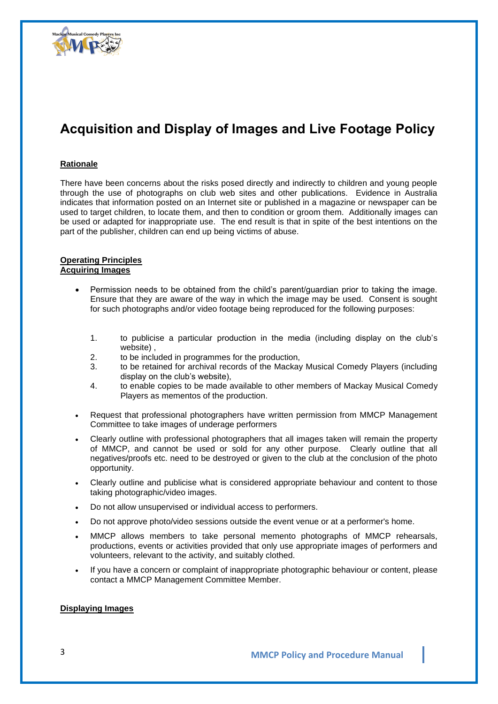

### **Acquisition and Display of Images and Live Footage Policy**

#### **Rationale**

There have been concerns about the risks posed directly and indirectly to children and young people through the use of photographs on club web sites and other publications. Evidence in Australia indicates that information posted on an Internet site or published in a magazine or newspaper can be used to target children, to locate them, and then to condition or groom them. Additionally images can be used or adapted for inappropriate use. The end result is that in spite of the best intentions on the part of the publisher, children can end up being victims of abuse.

#### **Operating Principles Acquiring Images**

- Permission needs to be obtained from the child's parent/guardian prior to taking the image. Ensure that they are aware of the way in which the image may be used. Consent is sought for such photographs and/or video footage being reproduced for the following purposes:
	- 1. to publicise a particular production in the media (including display on the club's website) ,
	- 2. to be included in programmes for the production,
	- 3. to be retained for archival records of the Mackay Musical Comedy Players (including display on the club's website),
	- 4. to enable copies to be made available to other members of Mackay Musical Comedy Players as mementos of the production.
- Request that professional photographers have written permission from MMCP Management Committee to take images of underage performers
- Clearly outline with professional photographers that all images taken will remain the property of MMCP, and cannot be used or sold for any other purpose. Clearly outline that all negatives/proofs etc. need to be destroyed or given to the club at the conclusion of the photo opportunity.
- Clearly outline and publicise what is considered appropriate behaviour and content to those taking photographic/video images.
- Do not allow unsupervised or individual access to performers.
- Do not approve photo/video sessions outside the event venue or at a performer's home.
- MMCP allows members to take personal memento photographs of MMCP rehearsals, productions, events or activities provided that only use appropriate images of performers and volunteers, relevant to the activity, and suitably clothed.
- If you have a concern or complaint of inappropriate photographic behaviour or content, please contact a MMCP Management Committee Member.

#### **Displaying Images**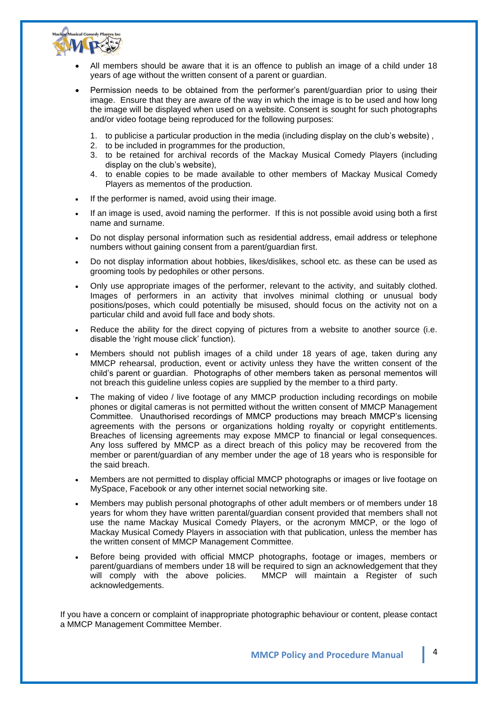

- All members should be aware that it is an offence to publish an image of a child under 18 years of age without the written consent of a parent or guardian.
- Permission needs to be obtained from the performer's parent/guardian prior to using their image. Ensure that they are aware of the way in which the image is to be used and how long the image will be displayed when used on a website. Consent is sought for such photographs and/or video footage being reproduced for the following purposes:
	- 1. to publicise a particular production in the media (including display on the club's website) ,
	- 2. to be included in programmes for the production.
	- 3. to be retained for archival records of the Mackay Musical Comedy Players (including display on the club's website),
	- 4. to enable copies to be made available to other members of Mackay Musical Comedy Players as mementos of the production.
- If the performer is named, avoid using their image.
- If an image is used, avoid naming the performer. If this is not possible avoid using both a first name and surname.
- Do not display personal information such as residential address, email address or telephone numbers without gaining consent from a parent/guardian first.
- Do not display information about hobbies, likes/dislikes, school etc. as these can be used as grooming tools by pedophiles or other persons.
- Only use appropriate images of the performer, relevant to the activity, and suitably clothed. Images of performers in an activity that involves minimal clothing or unusual body positions/poses, which could potentially be misused, should focus on the activity not on a particular child and avoid full face and body shots.
- Reduce the ability for the direct copying of pictures from a website to another source (i.e. disable the 'right mouse click' function).
- Members should not publish images of a child under 18 years of age, taken during any MMCP rehearsal, production, event or activity unless they have the written consent of the child's parent or guardian. Photographs of other members taken as personal mementos will not breach this guideline unless copies are supplied by the member to a third party.
- The making of video / live footage of any MMCP production including recordings on mobile phones or digital cameras is not permitted without the written consent of MMCP Management Committee. Unauthorised recordings of MMCP productions may breach MMCP's licensing agreements with the persons or organizations holding royalty or copyright entitlements. Breaches of licensing agreements may expose MMCP to financial or legal consequences. Any loss suffered by MMCP as a direct breach of this policy may be recovered from the member or parent/guardian of any member under the age of 18 years who is responsible for the said breach.
- Members are not permitted to display official MMCP photographs or images or live footage on MySpace, Facebook or any other internet social networking site.
- Members may publish personal photographs of other adult members or of members under 18 years for whom they have written parental/guardian consent provided that members shall not use the name Mackay Musical Comedy Players, or the acronym MMCP, or the logo of Mackay Musical Comedy Players in association with that publication, unless the member has the written consent of MMCP Management Committee.
- Before being provided with official MMCP photographs, footage or images, members or parent/guardians of members under 18 will be required to sign an acknowledgement that they will comply with the above policies. MMCP will maintain a Register of such acknowledgements.

If you have a concern or complaint of inappropriate photographic behaviour or content, please contact a MMCP Management Committee Member.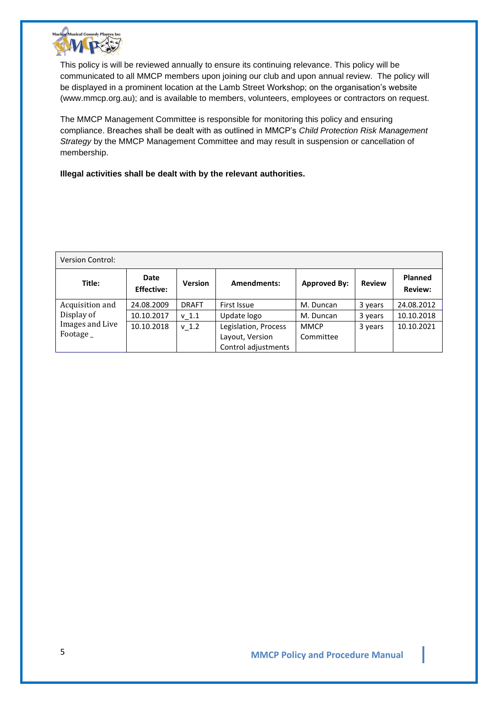

This policy is will be reviewed annually to ensure its continuing relevance. This policy will be communicated to all MMCP members upon joining our club and upon annual review. The policy will be displayed in a prominent location at the Lamb Street Workshop; on the organisation's website (www.mmcp.org.au); and is available to members, volunteers, employees or contractors on request.

The MMCP Management Committee is responsible for monitoring this policy and ensuring compliance. Breaches shall be dealt with as outlined in MMCP's *Child Protection Risk Management Strategy* by the MMCP Management Committee and may result in suspension or cancellation of membership.

**Illegal activities shall be dealt with by the relevant authorities.**

| <b>Version Control:</b>                    |                           |                  |                                                                |                          |               |                                  |
|--------------------------------------------|---------------------------|------------------|----------------------------------------------------------------|--------------------------|---------------|----------------------------------|
| Title:                                     | Date<br><b>Effective:</b> | <b>Version</b>   | <b>Amendments:</b>                                             | <b>Approved By:</b>      | <b>Review</b> | <b>Planned</b><br><b>Review:</b> |
| Acquisition and                            | 24.08.2009                | <b>DRAFT</b>     | First Issue                                                    | M. Duncan                | 3 years       | 24.08.2012                       |
| Display of<br>Images and Live<br>Footage _ | 10.10.2017                | v <sub>1.1</sub> | Update logo                                                    | M. Duncan                | 3 years       | 10.10.2018                       |
|                                            | 10.10.2018                | $v$ 1.2          | Legislation, Process<br>Layout, Version<br>Control adjustments | <b>MMCP</b><br>Committee | 3 years       | 10.10.2021                       |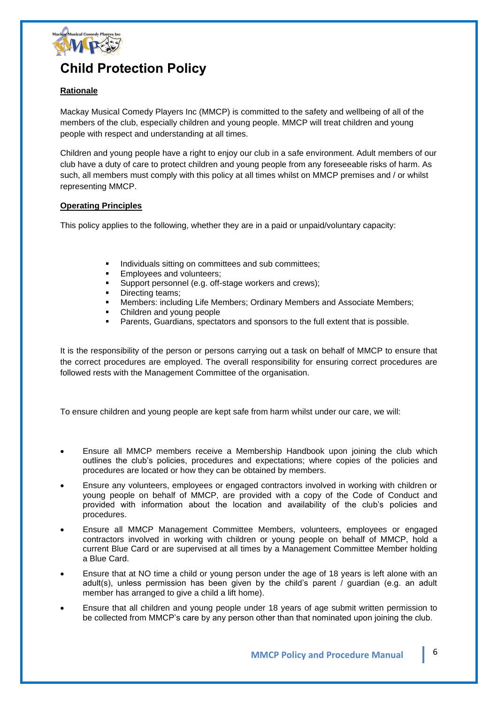

### **Child Protection Policy**

### **Rationale**

Mackay Musical Comedy Players Inc (MMCP) is committed to the safety and wellbeing of all of the members of the club, especially children and young people. MMCP will treat children and young people with respect and understanding at all times.

Children and young people have a right to enjoy our club in a safe environment. Adult members of our club have a duty of care to protect children and young people from any foreseeable risks of harm. As such, all members must comply with this policy at all times whilst on MMCP premises and / or whilst representing MMCP.

#### **Operating Principles**

This policy applies to the following, whether they are in a paid or unpaid/voluntary capacity:

- Individuals sitting on committees and sub committees;
- Employees and volunteers;
- **EXECT** Support personnel (e.g. off-stage workers and crews);
- Directing teams;
- **Members: including Life Members; Ordinary Members and Associate Members;**
- Children and young people
- Parents, Guardians, spectators and sponsors to the full extent that is possible.

It is the responsibility of the person or persons carrying out a task on behalf of MMCP to ensure that the correct procedures are employed. The overall responsibility for ensuring correct procedures are followed rests with the Management Committee of the organisation.

To ensure children and young people are kept safe from harm whilst under our care, we will:

- Ensure all MMCP members receive a Membership Handbook upon joining the club which outlines the club's policies, procedures and expectations; where copies of the policies and procedures are located or how they can be obtained by members.
- Ensure any volunteers, employees or engaged contractors involved in working with children or young people on behalf of MMCP, are provided with a copy of the Code of Conduct and provided with information about the location and availability of the club's policies and procedures.
- Ensure all MMCP Management Committee Members, volunteers, employees or engaged contractors involved in working with children or young people on behalf of MMCP, hold a current Blue Card or are supervised at all times by a Management Committee Member holding a Blue Card.
- Ensure that at NO time a child or young person under the age of 18 years is left alone with an adult(s), unless permission has been given by the child's parent / guardian (e.g. an adult member has arranged to give a child a lift home).
- Ensure that all children and young people under 18 years of age submit written permission to be collected from MMCP's care by any person other than that nominated upon joining the club.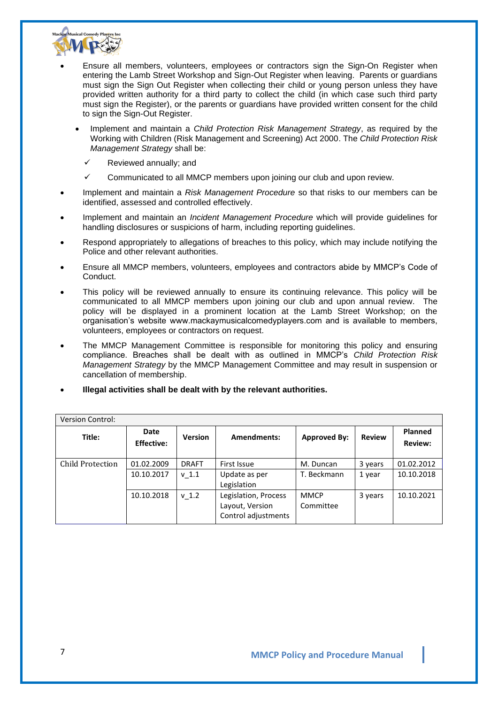

- Ensure all members, volunteers, employees or contractors sign the Sign-On Register when entering the Lamb Street Workshop and Sign-Out Register when leaving. Parents or guardians must sign the Sign Out Register when collecting their child or young person unless they have provided written authority for a third party to collect the child (in which case such third party must sign the Register), or the parents or guardians have provided written consent for the child to sign the Sign-Out Register.
	- Implement and maintain a *Child Protection Risk Management Strategy*, as required by the Working with Children (Risk Management and Screening) Act 2000. The *Child Protection Risk Management Strategy* shall be:
		- Reviewed annually; and
		- Communicated to all MMCP members upon joining our club and upon review.
- Implement and maintain a *Risk Management Procedure* so that risks to our members can be identified, assessed and controlled effectively.
- Implement and maintain an *Incident Management Procedure* which will provide guidelines for handling disclosures or suspicions of harm, including reporting guidelines.
- Respond appropriately to allegations of breaches to this policy, which may include notifying the Police and other relevant authorities.
- Ensure all MMCP members, volunteers, employees and contractors abide by MMCP's Code of Conduct.
- This policy will be reviewed annually to ensure its continuing relevance. This policy will be communicated to all MMCP members upon joining our club and upon annual review. The policy will be displayed in a prominent location at the Lamb Street Workshop; on the organisation's website www.mackaymusicalcomedyplayers.com and is available to members, volunteers, employees or contractors on request.
- The MMCP Management Committee is responsible for monitoring this policy and ensuring compliance. Breaches shall be dealt with as outlined in MMCP's *Child Protection Risk Management Strategy* by the MMCP Management Committee and may result in suspension or cancellation of membership.
- **Illegal activities shall be dealt with by the relevant authorities.**

| <b>Version Control:</b> |                           |                |                                                                |                          |               |                           |
|-------------------------|---------------------------|----------------|----------------------------------------------------------------|--------------------------|---------------|---------------------------|
| Title:                  | Date<br><b>Effective:</b> | <b>Version</b> | <b>Amendments:</b>                                             | <b>Approved By:</b>      | <b>Review</b> | Planned<br><b>Review:</b> |
| Child Protection        | 01.02.2009                | <b>DRAFT</b>   | First Issue                                                    | M. Duncan                | 3 years       | 01.02.2012                |
|                         | 10.10.2017                | $v_1.1$        | Update as per<br>Legislation                                   | T. Beckmann              | 1 year        | 10.10.2018                |
|                         | 10.10.2018                | $v$ 1.2        | Legislation, Process<br>Layout, Version<br>Control adjustments | <b>MMCP</b><br>Committee | 3 years       | 10.10.2021                |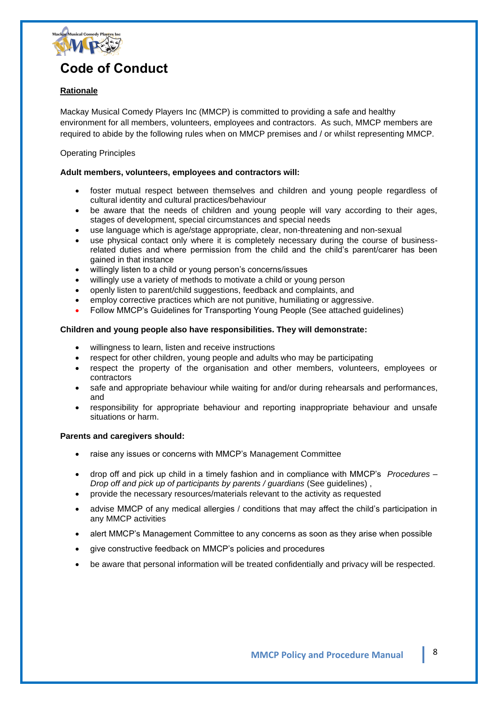

### **Code of Conduct**

### **Rationale**

Mackay Musical Comedy Players Inc (MMCP) is committed to providing a safe and healthy environment for all members, volunteers, employees and contractors. As such, MMCP members are required to abide by the following rules when on MMCP premises and / or whilst representing MMCP.

#### Operating Principles

#### **Adult members, volunteers, employees and contractors will:**

- foster mutual respect between themselves and children and young people regardless of cultural identity and cultural practices/behaviour
- be aware that the needs of children and young people will vary according to their ages, stages of development, special circumstances and special needs
- use language which is age/stage appropriate, clear, non-threatening and non-sexual
- use physical contact only where it is completely necessary during the course of businessrelated duties and where permission from the child and the child's parent/carer has been gained in that instance
- willingly listen to a child or young person's concerns/issues
- willingly use a variety of methods to motivate a child or young person
- openly listen to parent/child suggestions, feedback and complaints, and
- employ corrective practices which are not punitive, humiliating or aggressive.
- Follow MMCP's Guidelines for Transporting Young People (See attached guidelines)

#### **Children and young people also have responsibilities. They will demonstrate:**

- willingness to learn, listen and receive instructions
- respect for other children, young people and adults who may be participating
- respect the property of the organisation and other members, volunteers, employees or contractors
- safe and appropriate behaviour while waiting for and/or during rehearsals and performances, and
- responsibility for appropriate behaviour and reporting inappropriate behaviour and unsafe situations or harm.

#### **Parents and caregivers should:**

- raise any issues or concerns with MMCP's Management Committee
- drop off and pick up child in a timely fashion and in compliance with MMCP's *Procedures – Drop off and pick up of participants by parents / guardians* (See guidelines) ,
- provide the necessary resources/materials relevant to the activity as requested
- advise MMCP of any medical allergies / conditions that may affect the child's participation in any MMCP activities
- alert MMCP's Management Committee to any concerns as soon as they arise when possible
- give constructive feedback on MMCP's policies and procedures
- be aware that personal information will be treated confidentially and privacy will be respected.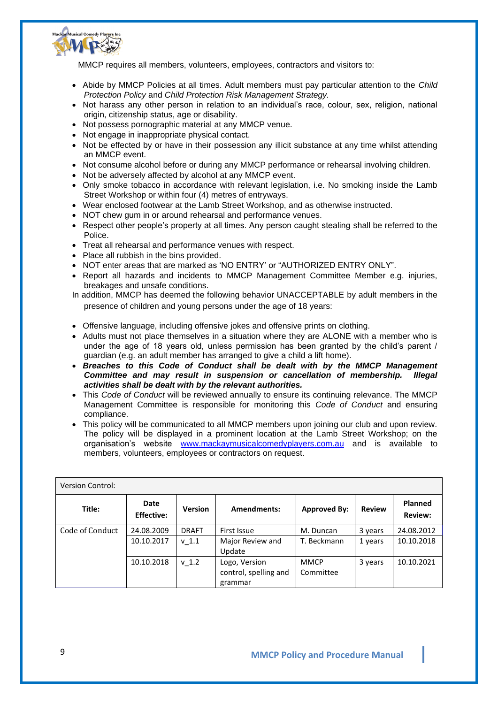

MMCP requires all members, volunteers, employees, contractors and visitors to:

- Abide by MMCP Policies at all times. Adult members must pay particular attention to the *Child Protection Policy* and *Child Protection Risk Management Strategy.*
- Not harass any other person in relation to an individual's race, colour, sex, religion, national origin, citizenship status, age or disability.
- Not possess pornographic material at any MMCP venue.
- Not engage in inappropriate physical contact.
- Not be effected by or have in their possession any illicit substance at any time whilst attending an MMCP event.
- Not consume alcohol before or during any MMCP performance or rehearsal involving children.
- Not be adversely affected by alcohol at any MMCP event.
- Only smoke tobacco in accordance with relevant legislation, i.e. No smoking inside the Lamb Street Workshop or within four (4) metres of entryways.
- Wear enclosed footwear at the Lamb Street Workshop, and as otherwise instructed.
- NOT chew gum in or around rehearsal and performance venues.
- Respect other people's property at all times. Any person caught stealing shall be referred to the Police.
- Treat all rehearsal and performance venues with respect.
- Place all rubbish in the bins provided.
- NOT enter areas that are marked as 'NO ENTRY' or "AUTHORIZED ENTRY ONLY".
- Report all hazards and incidents to MMCP Management Committee Member e.g. injuries, breakages and unsafe conditions.
- In addition, MMCP has deemed the following behavior UNACCEPTABLE by adult members in the presence of children and young persons under the age of 18 years:
- Offensive language, including offensive jokes and offensive prints on clothing.
- Adults must not place themselves in a situation where they are ALONE with a member who is under the age of 18 years old, unless permission has been granted by the child's parent / guardian (e.g. an adult member has arranged to give a child a lift home).
- *Breaches to this Code of Conduct shall be dealt with by the MMCP Management Committee and may result in suspension or cancellation of membership. Illegal activities shall be dealt with by the relevant authorities.*
- This *Code of Conduct* will be reviewed annually to ensure its continuing relevance. The MMCP Management Committee is responsible for monitoring this *Code of Conduct* and ensuring compliance.
- This policy will be communicated to all MMCP members upon joining our club and upon review. The policy will be displayed in a prominent location at the Lamb Street Workshop; on the organisation's website [www.mackaymusicalcomedyplayers.com.au](http://www.mackaymusicalcomedyplayers.com.au/) and is available to members, volunteers, employees or contractors on request.

| <b>Version Control:</b> |                           |                  |                            |                     |               |                                  |
|-------------------------|---------------------------|------------------|----------------------------|---------------------|---------------|----------------------------------|
| Title:                  | Date<br><b>Effective:</b> | <b>Version</b>   | Amendments:                | <b>Approved By:</b> | <b>Review</b> | <b>Planned</b><br><b>Review:</b> |
| Code of Conduct         | 24.08.2009                | <b>DRAFT</b>     | First Issue                | M. Duncan           | 3 years       | 24.08.2012                       |
|                         | 10.10.2017                | v <sub>1.1</sub> | Major Review and<br>Update | T. Beckmann         | 1 years       | 10.10.2018                       |
|                         | 10.10.2018                | v <sub>1.2</sub> | Logo, Version              | <b>MMCP</b>         | 3 years       | 10.10.2021                       |
|                         |                           |                  | control, spelling and      | Committee           |               |                                  |
|                         |                           |                  | grammar                    |                     |               |                                  |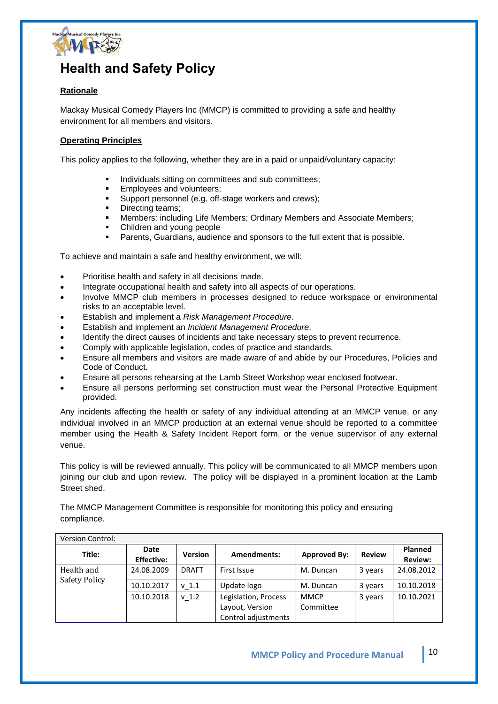

### **Health and Safety Policy**

### **Rationale**

Mackay Musical Comedy Players Inc (MMCP) is committed to providing a safe and healthy environment for all members and visitors.

#### **Operating Principles**

This policy applies to the following, whether they are in a paid or unpaid/voluntary capacity:

- Individuals sitting on committees and sub committees;
- Employees and volunteers;
- Support personnel (e.g. off-stage workers and crews);
- Directing teams;
- Members: including Life Members; Ordinary Members and Associate Members;
- Children and young people
- Parents, Guardians, audience and sponsors to the full extent that is possible.

To achieve and maintain a safe and healthy environment, we will:

- Prioritise health and safety in all decisions made.
- Integrate occupational health and safety into all aspects of our operations.
- Involve MMCP club members in processes designed to reduce workspace or environmental risks to an acceptable level.
- Establish and implement a *Risk Management Procedure*.
- Establish and implement an *Incident Management Procedure*.
- Identify the direct causes of incidents and take necessary steps to prevent recurrence.
- Comply with applicable legislation, codes of practice and standards.
- Ensure all members and visitors are made aware of and abide by our Procedures, Policies and Code of Conduct.
- Ensure all persons rehearsing at the Lamb Street Workshop wear enclosed footwear.
- Ensure all persons performing set construction must wear the Personal Protective Equipment provided.

Any incidents affecting the health or safety of any individual attending at an MMCP venue, or any individual involved in an MMCP production at an external venue should be reported to a committee member using the Health & Safety Incident Report form, or the venue supervisor of any external venue.

This policy is will be reviewed annually. This policy will be communicated to all MMCP members upon joining our club and upon review. The policy will be displayed in a prominent location at the Lamb Street shed.

The MMCP Management Committee is responsible for monitoring this policy and ensuring compliance.

| <b>Version Control:</b>     |                           |                  |                      |                     |               |                                  |
|-----------------------------|---------------------------|------------------|----------------------|---------------------|---------------|----------------------------------|
| Title:                      | Date<br><b>Effective:</b> | <b>Version</b>   | Amendments:          | <b>Approved By:</b> | <b>Review</b> | <b>Planned</b><br><b>Review:</b> |
| Health and<br>Safety Policy | 24.08.2009                | <b>DRAFT</b>     | First Issue          | M. Duncan           | 3 years       | 24.08.2012                       |
|                             | 10.10.2017                | v <sub>1.1</sub> | Update logo          | M. Duncan           | 3 years       | 10.10.2018                       |
|                             | 10.10.2018                | $v$ 1.2          | Legislation, Process | <b>MMCP</b>         | 3 years       | 10.10.2021                       |
|                             |                           |                  | Layout, Version      | Committee           |               |                                  |
|                             |                           |                  | Control adjustments  |                     |               |                                  |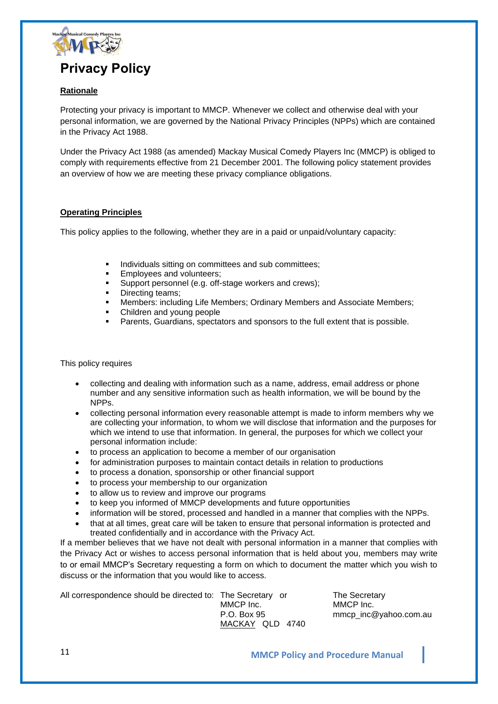

### **Rationale**

Protecting your privacy is important to MMCP. Whenever we collect and otherwise deal with your personal information, we are governed by the National Privacy Principles (NPPs) which are contained in the Privacy Act 1988.

Under the Privacy Act 1988 (as amended) Mackay Musical Comedy Players Inc (MMCP) is obliged to comply with requirements effective from 21 December 2001. The following policy statement provides an overview of how we are meeting these privacy compliance obligations.

#### **Operating Principles**

This policy applies to the following, whether they are in a paid or unpaid/voluntary capacity:

- Individuals sitting on committees and sub committees;
- Employees and volunteers;
- **EXECT** Support personnel (e.g. off-stage workers and crews);
- Directing teams;
- **E** Members: including Life Members; Ordinary Members and Associate Members;
- Children and young people
- Parents, Guardians, spectators and sponsors to the full extent that is possible.

#### This policy requires

- collecting and dealing with information such as a name, address, email address or phone number and any sensitive information such as health information, we will be bound by the NPPs.
- collecting personal information every reasonable attempt is made to inform members why we are collecting your information, to whom we will disclose that information and the purposes for which we intend to use that information. In general, the purposes for which we collect your personal information include:
- to process an application to become a member of our organisation
- for administration purposes to maintain contact details in relation to productions
- to process a donation, sponsorship or other financial support
- to process your membership to our organization
- to allow us to review and improve our programs
- to keep you informed of MMCP developments and future opportunities
- information will be stored, processed and handled in a manner that complies with the NPPs.
- that at all times, great care will be taken to ensure that personal information is protected and treated confidentially and in accordance with the Privacy Act.

If a member believes that we have not dealt with personal information in a manner that complies with the Privacy Act or wishes to access personal information that is held about you, members may write to or email MMCP's Secretary requesting a form on which to document the matter which you wish to discuss or the information that you would like to access.

All correspondence should be directed to: The Secretary or The Secretary MMCP Inc. MMCP Inc. MACKAY QLD 4740

P.O. Box 95 mmcp inc@yahoo.com.au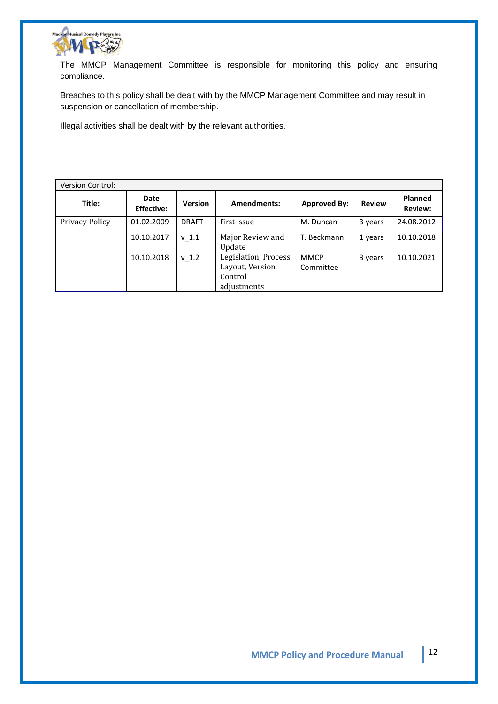

The MMCP Management Committee is responsible for monitoring this policy and ensuring compliance.

Breaches to this policy shall be dealt with by the MMCP Management Committee and may result in suspension or cancellation of membership.

Illegal activities shall be dealt with by the relevant authorities.

| <b>Version Control:</b> |                           |                |                                                                   |                          |               |                                  |
|-------------------------|---------------------------|----------------|-------------------------------------------------------------------|--------------------------|---------------|----------------------------------|
| Title:                  | Date<br><b>Effective:</b> | <b>Version</b> | Amendments:                                                       | <b>Approved By:</b>      | <b>Review</b> | <b>Planned</b><br><b>Review:</b> |
| Privacy Policy          | 01.02.2009                | <b>DRAFT</b>   | First Issue                                                       | M. Duncan                | 3 years       | 24.08.2012                       |
|                         | 10.10.2017                | $v$ 1.1        | Major Review and<br>Update                                        | T. Beckmann              | 1 years       | 10.10.2018                       |
|                         | 10.10.2018                | $v$ 1.2        | Legislation, Process<br>Layout, Version<br>Control<br>adjustments | <b>MMCP</b><br>Committee | 3 years       | 10.10.2021                       |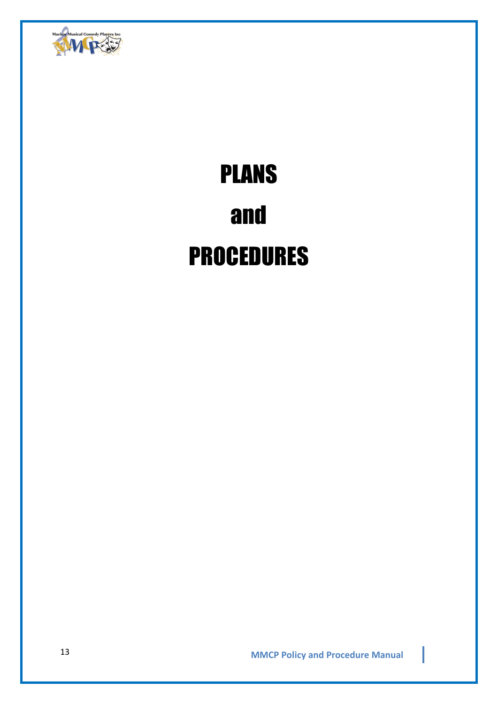

# PLANS and PROCEDURES

**MMCP Policy and Procedure Manual** 13

I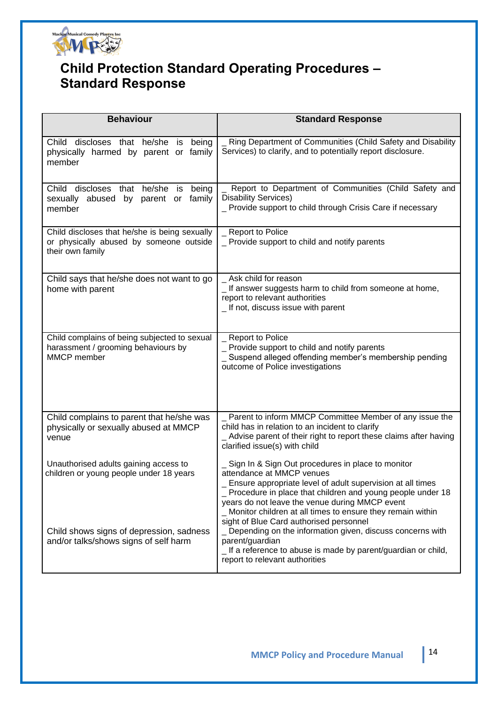

### **Child Protection Standard Operating Procedures – Standard Response**

| <b>Behaviour</b>                                                                                             | <b>Standard Response</b>                                                                                                                                                                                                                                                                                                                                                  |
|--------------------------------------------------------------------------------------------------------------|---------------------------------------------------------------------------------------------------------------------------------------------------------------------------------------------------------------------------------------------------------------------------------------------------------------------------------------------------------------------------|
| Child discloses that he/she<br>being<br>is<br>physically harmed by parent or family<br>member                | Ring Department of Communities (Child Safety and Disability<br>Services) to clarify, and to potentially report disclosure.                                                                                                                                                                                                                                                |
| Child discloses that he/she is<br>being<br>sexually abused<br>by parent or family<br>member                  | Report to Department of Communities (Child Safety and<br><b>Disability Services)</b><br>_ Provide support to child through Crisis Care if necessary                                                                                                                                                                                                                       |
| Child discloses that he/she is being sexually<br>or physically abused by someone outside<br>their own family | _ Report to Police<br>_ Provide support to child and notify parents                                                                                                                                                                                                                                                                                                       |
| Child says that he/she does not want to go<br>home with parent                                               | Ask child for reason<br>_ If answer suggests harm to child from someone at home,<br>report to relevant authorities<br>_ If not, discuss issue with parent                                                                                                                                                                                                                 |
| Child complains of being subjected to sexual<br>harassment / grooming behaviours by<br>MMCP member           | <b>Report to Police</b><br>_ Provide support to child and notify parents<br>Suspend alleged offending member's membership pending<br>outcome of Police investigations                                                                                                                                                                                                     |
| Child complains to parent that he/she was<br>physically or sexually abused at MMCP<br>venue                  | _ Parent to inform MMCP Committee Member of any issue the<br>child has in relation to an incident to clarify<br>Advise parent of their right to report these claims after having<br>clarified issue(s) with child                                                                                                                                                         |
| Unauthorised adults gaining access to<br>children or young people under 18 years                             | Sign In & Sign Out procedures in place to monitor<br>attendance at MMCP venues<br>Ensure appropriate level of adult supervision at all times<br>_ Procedure in place that children and young people under 18<br>years do not leave the venue during MMCP event<br>_ Monitor children at all times to ensure they remain within<br>sight of Blue Card authorised personnel |
| Child shows signs of depression, sadness<br>and/or talks/shows signs of self harm                            | _ Depending on the information given, discuss concerns with<br>parent/guardian<br>_If a reference to abuse is made by parent/guardian or child,<br>report to relevant authorities                                                                                                                                                                                         |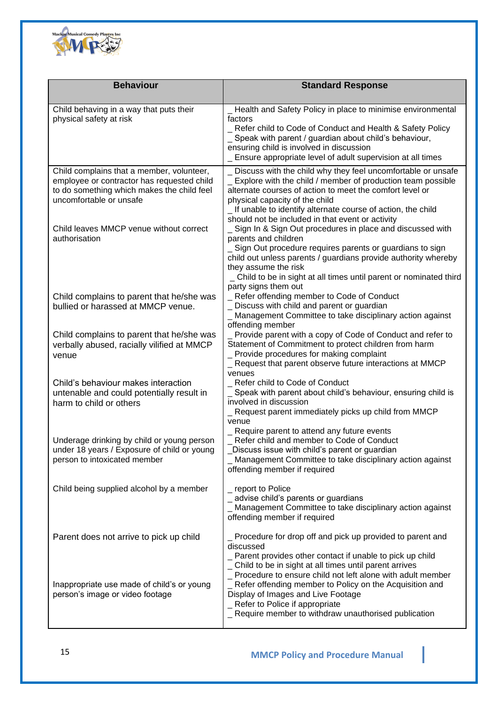

| <b>Behaviour</b>                                                                                                                                                 | <b>Standard Response</b>                                                                                                                                                                                                                                                                                     |
|------------------------------------------------------------------------------------------------------------------------------------------------------------------|--------------------------------------------------------------------------------------------------------------------------------------------------------------------------------------------------------------------------------------------------------------------------------------------------------------|
| Child behaving in a way that puts their<br>physical safety at risk                                                                                               | _ Health and Safety Policy in place to minimise environmental<br>factors<br>Refer child to Code of Conduct and Health & Safety Policy<br>_ Speak with parent / guardian about child's behaviour,<br>ensuring child is involved in discussion<br>_ Ensure appropriate level of adult supervision at all times |
| Child complains that a member, volunteer,<br>employee or contractor has requested child<br>to do something which makes the child feel<br>uncomfortable or unsafe | _ Discuss with the child why they feel uncomfortable or unsafe<br>_ Explore with the child / member of production team possible<br>alternate courses of action to meet the comfort level or<br>physical capacity of the child<br>_ If unable to identify alternate course of action, the child               |
| Child leaves MMCP venue without correct<br>authorisation                                                                                                         | should not be included in that event or activity<br>Sign In & Sign Out procedures in place and discussed with<br>parents and children<br>Sign Out procedure requires parents or guardians to sign<br>child out unless parents / guardians provide authority whereby<br>they assume the risk                  |
| Child complains to parent that he/she was<br>bullied or harassed at MMCP venue.                                                                                  | _ Child to be in sight at all times until parent or nominated third<br>party signs them out<br>_ Refer offending member to Code of Conduct<br>_ Discuss with child and parent or guardian<br>Management Committee to take disciplinary action against<br>offending member                                    |
| Child complains to parent that he/she was<br>verbally abused, racially vilified at MMCP<br>venue                                                                 | _ Provide parent with a copy of Code of Conduct and refer to<br>Statement of Commitment to protect children from harm<br>_ Provide procedures for making complaint<br>_ Request that parent observe future interactions at MMCP<br>venues                                                                    |
| Child's behaviour makes interaction<br>untenable and could potentially result in<br>harm to child or others                                                      | _ Refer child to Code of Conduct<br>Speak with parent about child's behaviour, ensuring child is<br>involved in discussion<br>_ Request parent immediately picks up child from MMCP<br>venue                                                                                                                 |
| Underage drinking by child or young person<br>under 18 years / Exposure of child or young<br>person to intoxicated member                                        | _ Require parent to attend any future events<br>Refer child and member to Code of Conduct<br>Discuss issue with child's parent or guardian<br>_ Management Committee to take disciplinary action against<br>offending member if required                                                                     |
| Child being supplied alcohol by a member                                                                                                                         | _ report to Police<br>advise child's parents or guardians<br>_ Management Committee to take disciplinary action against<br>offending member if required                                                                                                                                                      |
| Parent does not arrive to pick up child                                                                                                                          | Procedure for drop off and pick up provided to parent and<br>discussed<br>_ Parent provides other contact if unable to pick up child<br>_ Child to be in sight at all times until parent arrives                                                                                                             |
| Inappropriate use made of child's or young<br>person's image or video footage                                                                                    | _ Procedure to ensure child not left alone with adult member<br>Refer offending member to Policy on the Acquisition and<br>Display of Images and Live Footage<br>_ Refer to Police if appropriate<br>_ Require member to withdraw unauthorised publication                                                   |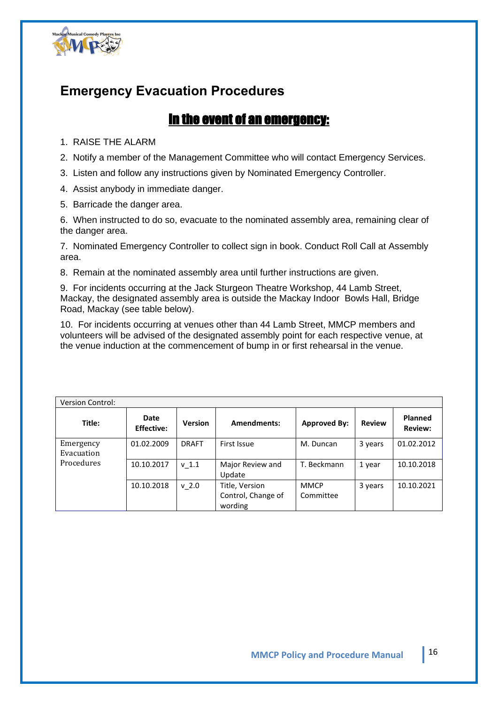

### **Emergency Evacuation Procedures**

### In the event of an emergency:

1. RAISE THE ALARM

- 2. Notify a member of the Management Committee who will contact Emergency Services.
- 3. Listen and follow any instructions given by Nominated Emergency Controller.

4. Assist anybody in immediate danger.

5. Barricade the danger area.

6. When instructed to do so, evacuate to the nominated assembly area, remaining clear of the danger area.

7. Nominated Emergency Controller to collect sign in book. Conduct Roll Call at Assembly area.

8. Remain at the nominated assembly area until further instructions are given.

9. For incidents occurring at the Jack Sturgeon Theatre Workshop, 44 Lamb Street, Mackay, the designated assembly area is outside the Mackay Indoor Bowls Hall, Bridge Road, Mackay (see table below).

10. For incidents occurring at venues other than 44 Lamb Street, MMCP members and volunteers will be advised of the designated assembly point for each respective venue, at the venue induction at the commencement of bump in or first rehearsal in the venue.

| <b>Version Control:</b> |                           |                  |                               |                     |               |                                  |
|-------------------------|---------------------------|------------------|-------------------------------|---------------------|---------------|----------------------------------|
| Title:                  | Date<br><b>Effective:</b> | <b>Version</b>   | <b>Amendments:</b>            | <b>Approved By:</b> | <b>Review</b> | <b>Planned</b><br><b>Review:</b> |
| Emergency<br>Evacuation | 01.02.2009                | <b>DRAFT</b>     | First Issue                   | M. Duncan           | 3 years       | 01.02.2012                       |
| Procedures              | 10.10.2017                | v <sub>1.1</sub> | Major Review and<br>Update    | T. Beckmann         | 1 year        | 10.10.2018                       |
|                         | 10.10.2018                | $v$ 2.0          | Title, Version                | <b>MMCP</b>         | 3 years       | 10.10.2021                       |
|                         |                           |                  | Control, Change of<br>wording | Committee           |               |                                  |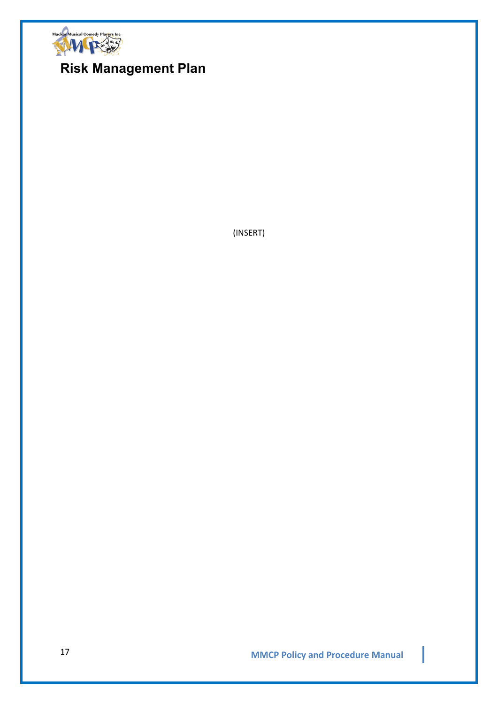

### **Risk Management Plan**

(INSERT)

**MMCP Policy and Procedure Manual** 17

I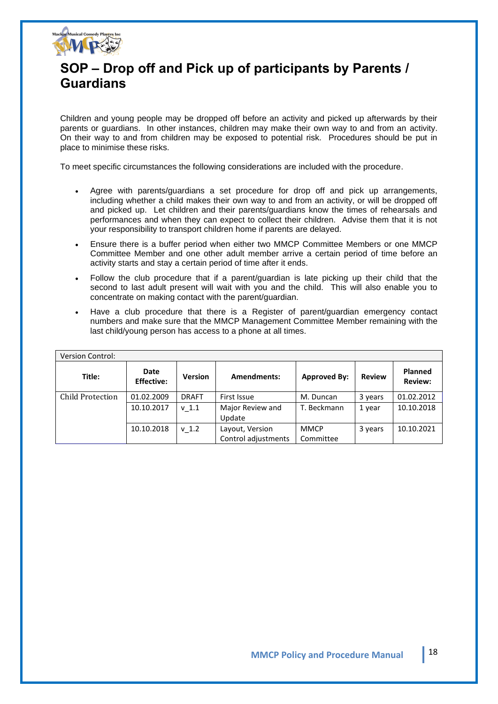

### **SOP – Drop off and Pick up of participants by Parents / Guardians**

Children and young people may be dropped off before an activity and picked up afterwards by their parents or guardians. In other instances, children may make their own way to and from an activity. On their way to and from children may be exposed to potential risk. Procedures should be put in place to minimise these risks.

To meet specific circumstances the following considerations are included with the procedure.

- Agree with parents/guardians a set procedure for drop off and pick up arrangements, including whether a child makes their own way to and from an activity, or will be dropped off and picked up. Let children and their parents/guardians know the times of rehearsals and performances and when they can expect to collect their children. Advise them that it is not your responsibility to transport children home if parents are delayed.
- Ensure there is a buffer period when either two MMCP Committee Members or one MMCP Committee Member and one other adult member arrive a certain period of time before an activity starts and stay a certain period of time after it ends.
- Follow the club procedure that if a parent/guardian is late picking up their child that the second to last adult present will wait with you and the child. This will also enable you to concentrate on making contact with the parent/guardian.
- Have a club procedure that there is a Register of parent/guardian emergency contact numbers and make sure that the MMCP Management Committee Member remaining with the last child/young person has access to a phone at all times.

| <b>Version Control:</b> |                           |                |                                        |                          |               |                                  |
|-------------------------|---------------------------|----------------|----------------------------------------|--------------------------|---------------|----------------------------------|
| Title:                  | Date<br><b>Effective:</b> | <b>Version</b> | <b>Amendments:</b>                     | <b>Approved By:</b>      | <b>Review</b> | <b>Planned</b><br><b>Review:</b> |
| Child Protection        | 01.02.2009                | <b>DRAFT</b>   | First Issue                            | M. Duncan                | 3 years       | 01.02.2012                       |
|                         | 10.10.2017                | $v_1.1$        | Major Review and<br>Update             | T. Beckmann              | 1 year        | 10.10.2018                       |
|                         | 10.10.2018                | $v_1$ .2       | Layout, Version<br>Control adjustments | <b>MMCP</b><br>Committee | 3 years       | 10.10.2021                       |